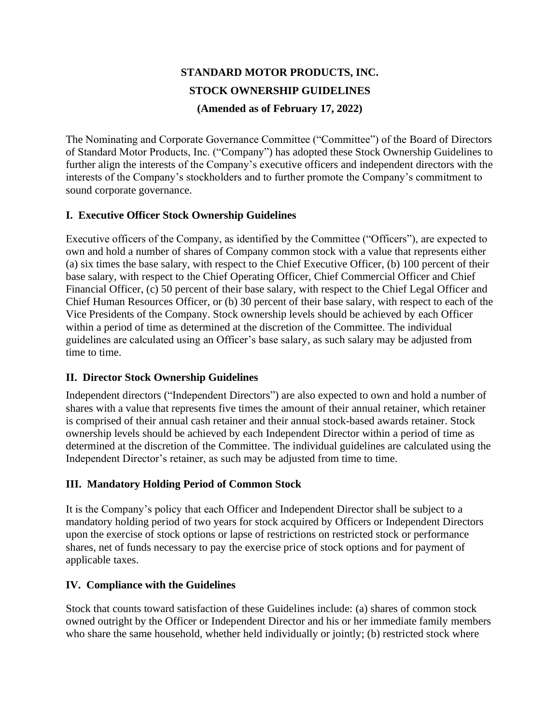# **STANDARD MOTOR PRODUCTS, INC. STOCK OWNERSHIP GUIDELINES (Amended as of February 17, 2022)**

The Nominating and Corporate Governance Committee ("Committee") of the Board of Directors of Standard Motor Products, Inc. ("Company") has adopted these Stock Ownership Guidelines to further align the interests of the Company's executive officers and independent directors with the interests of the Company's stockholders and to further promote the Company's commitment to sound corporate governance.

### **I. Executive Officer Stock Ownership Guidelines**

Executive officers of the Company, as identified by the Committee ("Officers"), are expected to own and hold a number of shares of Company common stock with a value that represents either (a) six times the base salary, with respect to the Chief Executive Officer, (b) 100 percent of their base salary, with respect to the Chief Operating Officer, Chief Commercial Officer and Chief Financial Officer, (c) 50 percent of their base salary, with respect to the Chief Legal Officer and Chief Human Resources Officer, or (b) 30 percent of their base salary, with respect to each of the Vice Presidents of the Company. Stock ownership levels should be achieved by each Officer within a period of time as determined at the discretion of the Committee. The individual guidelines are calculated using an Officer's base salary, as such salary may be adjusted from time to time.

#### **II. Director Stock Ownership Guidelines**

Independent directors ("Independent Directors") are also expected to own and hold a number of shares with a value that represents five times the amount of their annual retainer, which retainer is comprised of their annual cash retainer and their annual stock-based awards retainer. Stock ownership levels should be achieved by each Independent Director within a period of time as determined at the discretion of the Committee. The individual guidelines are calculated using the Independent Director's retainer, as such may be adjusted from time to time.

## **III. Mandatory Holding Period of Common Stock**

It is the Company's policy that each Officer and Independent Director shall be subject to a mandatory holding period of two years for stock acquired by Officers or Independent Directors upon the exercise of stock options or lapse of restrictions on restricted stock or performance shares, net of funds necessary to pay the exercise price of stock options and for payment of applicable taxes.

#### **IV. Compliance with the Guidelines**

Stock that counts toward satisfaction of these Guidelines include: (a) shares of common stock owned outright by the Officer or Independent Director and his or her immediate family members who share the same household, whether held individually or jointly; (b) restricted stock where